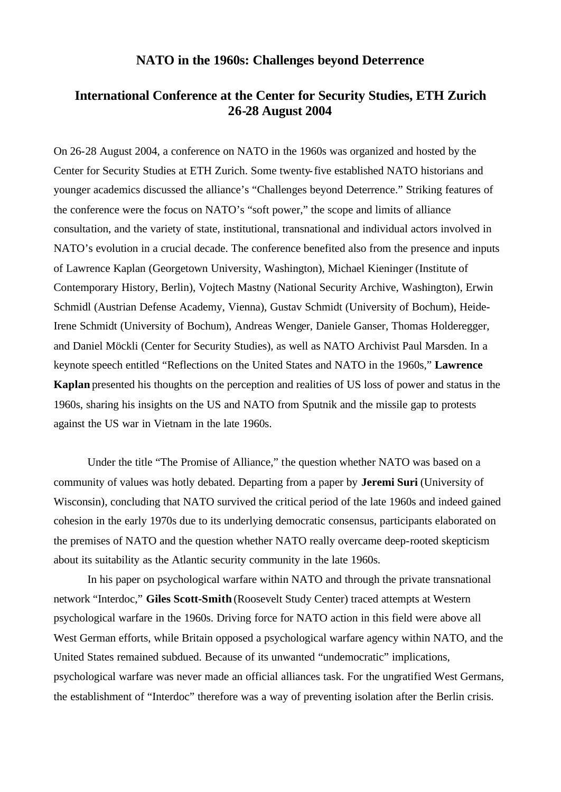## **NATO in the 1960s: Challenges beyond Deterrence**

## **International Conference at the Center for Security Studies, ETH Zurich 26-28 August 2004**

On 26-28 August 2004, a conference on NATO in the 1960s was organized and hosted by the Center for Security Studies at ETH Zurich. Some twenty-five established NATO historians and younger academics discussed the alliance's "Challenges beyond Deterrence." Striking features of the conference were the focus on NATO's "soft power," the scope and limits of alliance consultation, and the variety of state, institutional, transnational and individual actors involved in NATO's evolution in a crucial decade. The conference benefited also from the presence and inputs of Lawrence Kaplan (Georgetown University, Washington), Michael Kieninger (Institute of Contemporary History, Berlin), Vojtech Mastny (National Security Archive, Washington), Erwin Schmidl (Austrian Defense Academy, Vienna), Gustav Schmidt (University of Bochum), Heide-Irene Schmidt (University of Bochum), Andreas Wenger, Daniele Ganser, Thomas Holderegger, and Daniel Möckli (Center for Security Studies), as well as NATO Archivist Paul Marsden. In a keynote speech entitled "Reflections on the United States and NATO in the 1960s," **Lawrence Kaplan** presented his thoughts on the perception and realities of US loss of power and status in the 1960s, sharing his insights on the US and NATO from Sputnik and the missile gap to protests against the US war in Vietnam in the late 1960s.

Under the title "The Promise of Alliance," the question whether NATO was based on a community of values was hotly debated. Departing from a paper by **Jeremi Suri** (University of Wisconsin), concluding that NATO survived the critical period of the late 1960s and indeed gained cohesion in the early 1970s due to its underlying democratic consensus, participants elaborated on the premises of NATO and the question whether NATO really overcame deep-rooted skepticism about its suitability as the Atlantic security community in the late 1960s.

In his paper on psychological warfare within NATO and through the private transnational network "Interdoc," **Giles Scott-Smith** (Roosevelt Study Center) traced attempts at Western psychological warfare in the 1960s. Driving force for NATO action in this field were above all West German efforts, while Britain opposed a psychological warfare agency within NATO, and the United States remained subdued. Because of its unwanted "undemocratic" implications, psychological warfare was never made an official alliances task. For the ungratified West Germans, the establishment of "Interdoc" therefore was a way of preventing isolation after the Berlin crisis.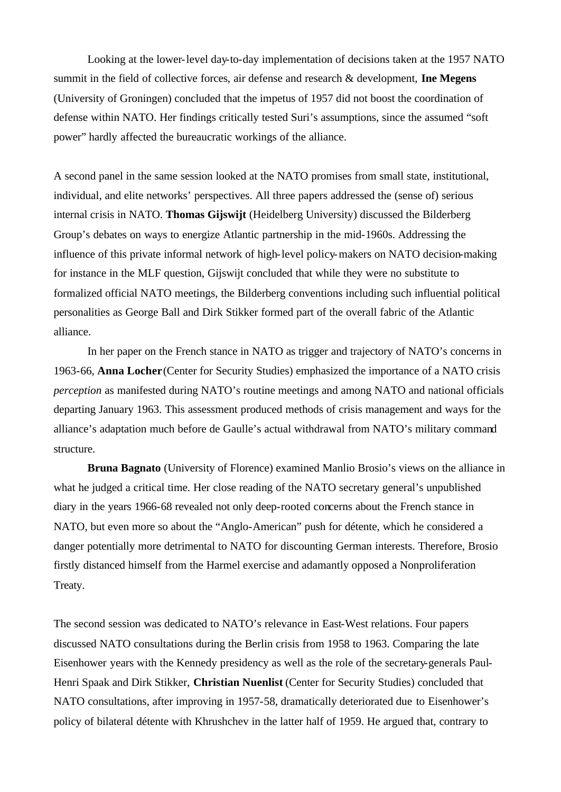Looking at the lower-level day-to-day implementation of decisions taken at the 1957 NATO summit in the field of collective forces, air defense and research & development, **Ine Megens** (University of Groningen) concluded that the impetus of 1957 did not boost the coordination of defense within NATO. Her findings critically tested Suri's assumptions, since the assumed "soft power" hardly affected the bureaucratic workings of the alliance.

A second panel in the same session looked at the NATO promises from small state, institutional, individual, and elite networks' perspectives. All three papers addressed the (sense of) serious internal crisis in NATO. **Thomas Gijswijt** (Heidelberg University) discussed the Bilderberg Group's debates on ways to energize Atlantic partnership in the mid-1960s. Addressing the influence of this private informal network of high-level policy-makers on NATO decision-making for instance in the MLF question, Gijswijt concluded that while they were no substitute to formalized official NATO meetings, the Bilderberg conventions including such influential political personalities as George Ball and Dirk Stikker formed part of the overall fabric of the Atlantic alliance.

In her paper on the French stance in NATO as trigger and trajectory of NATO's concerns in 1963-66, **Anna Locher** (Center for Security Studies) emphasized the importance of a NATO crisis *perception* as manifested during NATO's routine meetings and among NATO and national officials departing January 1963. This assessment produced methods of crisis management and ways for the alliance's adaptation much before de Gaulle's actual withdrawal from NATO's military command structure.

**Bruna Bagnato** (University of Florence) examined Manlio Brosio's views on the alliance in what he judged a critical time. Her close reading of the NATO secretary general's unpublished diary in the years 1966-68 revealed not only deep-rooted concerns about the French stance in NATO, but even more so about the "Anglo-American" push for détente, which he considered a danger potentially more detrimental to NATO for discounting German interests. Therefore, Brosio firstly distanced himself from the Harmel exercise and adamantly opposed a Nonproliferation Treaty.

The second session was dedicated to NATO's relevance in East-West relations. Four papers discussed NATO consultations during the Berlin crisis from 1958 to 1963. Comparing the late Eisenhower years with the Kennedy presidency as well as the role of the secretary-generals Paul-Henri Spaak and Dirk Stikker, **Christian Nuenlist** (Center for Security Studies) concluded that NATO consultations, after improving in 1957-58, dramatically deteriorated due to Eisenhower's policy of bilateral détente with Khrushchev in the latter half of 1959. He argued that, contrary to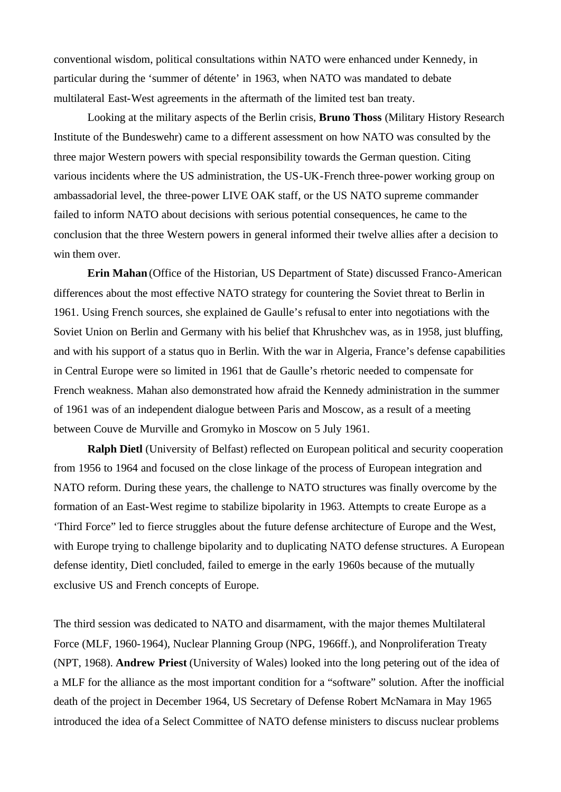conventional wisdom, political consultations within NATO were enhanced under Kennedy, in particular during the 'summer of détente' in 1963, when NATO was mandated to debate multilateral East-West agreements in the aftermath of the limited test ban treaty.

Looking at the military aspects of the Berlin crisis, **Bruno Thoss** (Military History Research Institute of the Bundeswehr) came to a different assessment on how NATO was consulted by the three major Western powers with special responsibility towards the German question. Citing various incidents where the US administration, the US-UK-French three-power working group on ambassadorial level, the three-power LIVE OAK staff, or the US NATO supreme commander failed to inform NATO about decisions with serious potential consequences, he came to the conclusion that the three Western powers in general informed their twelve allies after a decision to win them over.

**Erin Mahan** (Office of the Historian, US Department of State) discussed Franco-American differences about the most effective NATO strategy for countering the Soviet threat to Berlin in 1961. Using French sources, she explained de Gaulle's refusal to enter into negotiations with the Soviet Union on Berlin and Germany with his belief that Khrushchev was, as in 1958, just bluffing, and with his support of a status quo in Berlin. With the war in Algeria, France's defense capabilities in Central Europe were so limited in 1961 that de Gaulle's rhetoric needed to compensate for French weakness. Mahan also demonstrated how afraid the Kennedy administration in the summer of 1961 was of an independent dialogue between Paris and Moscow, as a result of a meeting between Couve de Murville and Gromyko in Moscow on 5 July 1961.

**Ralph Dietl** (University of Belfast) reflected on European political and security cooperation from 1956 to 1964 and focused on the close linkage of the process of European integration and NATO reform. During these years, the challenge to NATO structures was finally overcome by the formation of an East-West regime to stabilize bipolarity in 1963. Attempts to create Europe as a 'Third Force" led to fierce struggles about the future defense architecture of Europe and the West, with Europe trying to challenge bipolarity and to duplicating NATO defense structures. A European defense identity, Dietl concluded, failed to emerge in the early 1960s because of the mutually exclusive US and French concepts of Europe.

The third session was dedicated to NATO and disarmament, with the major themes Multilateral Force (MLF, 1960-1964), Nuclear Planning Group (NPG, 1966ff.), and Nonproliferation Treaty (NPT, 1968). **Andrew Priest** (University of Wales) looked into the long petering out of the idea of a MLF for the alliance as the most important condition for a "software" solution. After the inofficial death of the project in December 1964, US Secretary of Defense Robert McNamara in May 1965 introduced the idea of a Select Committee of NATO defense ministers to discuss nuclear problems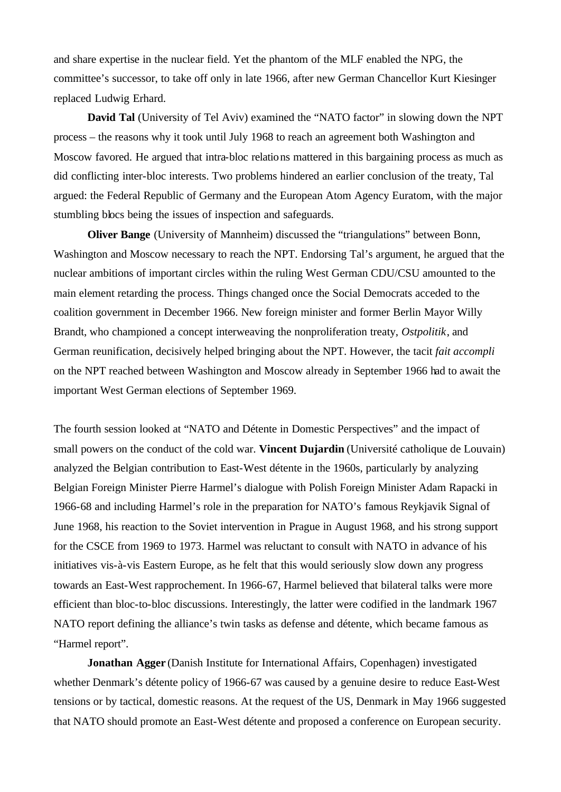and share expertise in the nuclear field. Yet the phantom of the MLF enabled the NPG, the committee's successor, to take off only in late 1966, after new German Chancellor Kurt Kiesinger replaced Ludwig Erhard.

**David Tal** (University of Tel Aviv) examined the "NATO factor" in slowing down the NPT process – the reasons why it took until July 1968 to reach an agreement both Washington and Moscow favored. He argued that intra-bloc relations mattered in this bargaining process as much as did conflicting inter-bloc interests. Two problems hindered an earlier conclusion of the treaty, Tal argued: the Federal Republic of Germany and the European Atom Agency Euratom, with the major stumbling blocs being the issues of inspection and safeguards.

**Oliver Bange** (University of Mannheim) discussed the "triangulations" between Bonn, Washington and Moscow necessary to reach the NPT. Endorsing Tal's argument, he argued that the nuclear ambitions of important circles within the ruling West German CDU/CSU amounted to the main element retarding the process. Things changed once the Social Democrats acceded to the coalition government in December 1966. New foreign minister and former Berlin Mayor Willy Brandt, who championed a concept interweaving the nonproliferation treaty, *Ostpolitik*, and German reunification, decisively helped bringing about the NPT. However, the tacit *fait accompli* on the NPT reached between Washington and Moscow already in September 1966 had to await the important West German elections of September 1969.

The fourth session looked at "NATO and Détente in Domestic Perspectives" and the impact of small powers on the conduct of the cold war. **Vincent Dujardin** (Université catholique de Louvain) analyzed the Belgian contribution to East-West détente in the 1960s, particularly by analyzing Belgian Foreign Minister Pierre Harmel's dialogue with Polish Foreign Minister Adam Rapacki in 1966-68 and including Harmel's role in the preparation for NATO's famous Reykjavik Signal of June 1968, his reaction to the Soviet intervention in Prague in August 1968, and his strong support for the CSCE from 1969 to 1973. Harmel was reluctant to consult with NATO in advance of his initiatives vis-à-vis Eastern Europe, as he felt that this would seriously slow down any progress towards an East-West rapprochement. In 1966-67, Harmel believed that bilateral talks were more efficient than bloc-to-bloc discussions. Interestingly, the latter were codified in the landmark 1967 NATO report defining the alliance's twin tasks as defense and détente, which became famous as "Harmel report".

**Jonathan Agger** (Danish Institute for International Affairs, Copenhagen) investigated whether Denmark's détente policy of 1966-67 was caused by a genuine desire to reduce East-West tensions or by tactical, domestic reasons. At the request of the US, Denmark in May 1966 suggested that NATO should promote an East-West détente and proposed a conference on European security.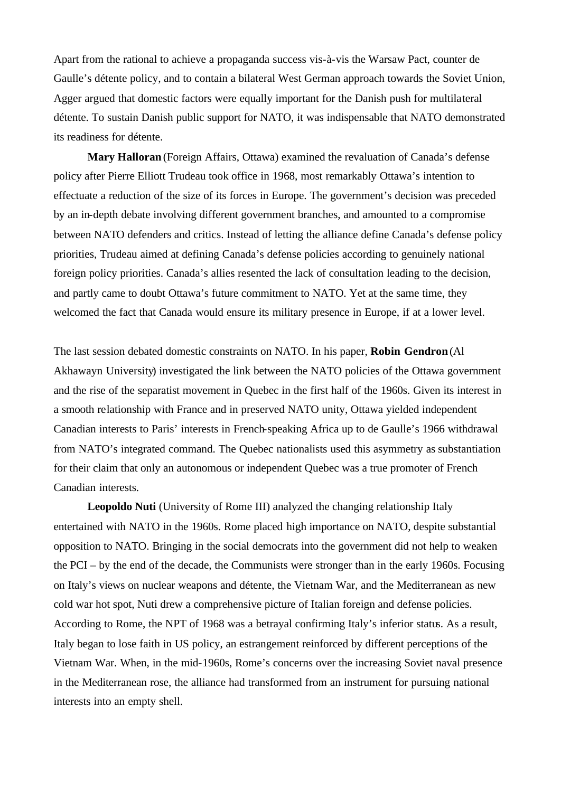Apart from the rational to achieve a propaganda success vis-à-vis the Warsaw Pact, counter de Gaulle's détente policy, and to contain a bilateral West German approach towards the Soviet Union, Agger argued that domestic factors were equally important for the Danish push for multilateral détente. To sustain Danish public support for NATO, it was indispensable that NATO demonstrated its readiness for détente.

**Mary Halloran** (Foreign Affairs, Ottawa) examined the revaluation of Canada's defense policy after Pierre Elliott Trudeau took office in 1968, most remarkably Ottawa's intention to effectuate a reduction of the size of its forces in Europe. The government's decision was preceded by an in-depth debate involving different government branches, and amounted to a compromise between NATO defenders and critics. Instead of letting the alliance define Canada's defense policy priorities, Trudeau aimed at defining Canada's defense policies according to genuinely national foreign policy priorities. Canada's allies resented the lack of consultation leading to the decision, and partly came to doubt Ottawa's future commitment to NATO. Yet at the same time, they welcomed the fact that Canada would ensure its military presence in Europe, if at a lower level.

The last session debated domestic constraints on NATO. In his paper, **Robin Gendron** (Al Akhawayn University) investigated the link between the NATO policies of the Ottawa government and the rise of the separatist movement in Quebec in the first half of the 1960s. Given its interest in a smooth relationship with France and in preserved NATO unity, Ottawa yielded independent Canadian interests to Paris' interests in French-speaking Africa up to de Gaulle's 1966 withdrawal from NATO's integrated command. The Quebec nationalists used this asymmetry as substantiation for their claim that only an autonomous or independent Quebec was a true promoter of French Canadian interests.

**Leopoldo Nuti** (University of Rome III) analyzed the changing relationship Italy entertained with NATO in the 1960s. Rome placed high importance on NATO, despite substantial opposition to NATO. Bringing in the social democrats into the government did not help to weaken the PCI – by the end of the decade, the Communists were stronger than in the early 1960s. Focusing on Italy's views on nuclear weapons and détente, the Vietnam War, and the Mediterranean as new cold war hot spot, Nuti drew a comprehensive picture of Italian foreign and defense policies. According to Rome, the NPT of 1968 was a betrayal confirming Italy's inferior status. As a result, Italy began to lose faith in US policy, an estrangement reinforced by different perceptions of the Vietnam War. When, in the mid-1960s, Rome's concerns over the increasing Soviet naval presence in the Mediterranean rose, the alliance had transformed from an instrument for pursuing national interests into an empty shell.